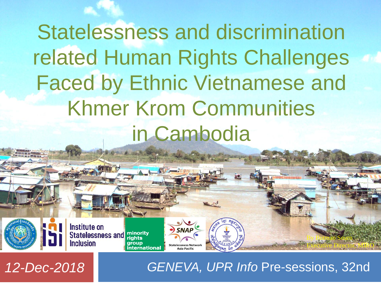Statelessness and discrimination related Human Rights Challenges Faced by Ethnic Vietnamese and Khmer Krom Communities in Cambodia

**Article State** 

**Statelessness Networl** 

**Asia Pacific** 

Institute on<br>Statelessness and minority **Inclusion nternational** 



By Butmao Sourn

Executive Director, MIRO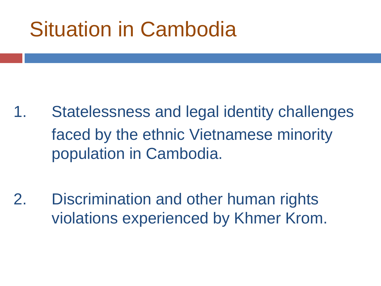# Situation in Cambodia

- 1. Statelessness and legal identity challenges faced by the ethnic Vietnamese minority population in Cambodia.
- 2. Discrimination and other human rights violations experienced by Khmer Krom.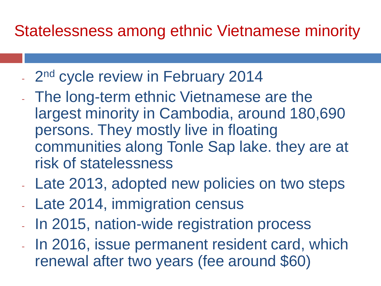### Statelessness among ethnic Vietnamese minority

- 2<sup>nd</sup> cycle review in February 2014
- The long-term ethnic Vietnamese are the largest minority in Cambodia, around 180,690 persons. They mostly live in floating communities along Tonle Sap lake. they are at risk of statelessness
- Late 2013, adopted new policies on two steps
- Late 2014, immigration census
- In 2015, nation-wide registration process
- In 2016, issue permanent resident card, which renewal after two years (fee around \$60)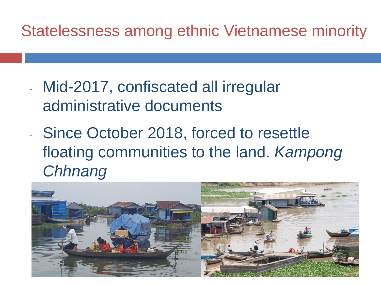### Statelessness among ethnic Vietnamese minority

- Mid-2017, confiscated all irregular administrative documents
- Since October 2018, forced to resettle floating communities to the land. *Kampong Chhnang*

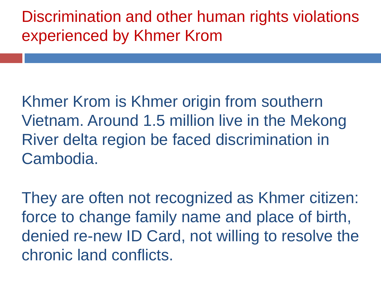Discrimination and other human rights violations experienced by Khmer Krom

Khmer Krom is Khmer origin from southern Vietnam. Around 1.5 million live in the Mekong River delta region be faced discrimination in Cambodia.

They are often not recognized as Khmer citizen: force to change family name and place of birth, denied re-new ID Card, not willing to resolve the chronic land conflicts.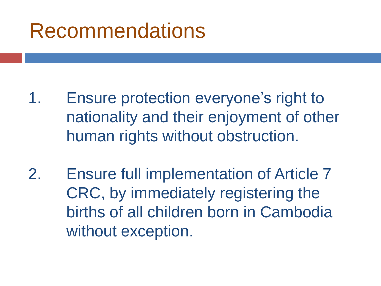## Recommendations

- 1. Ensure protection everyone's right to nationality and their enjoyment of other human rights without obstruction.
- 2. Ensure full implementation of Article 7 CRC, by immediately registering the births of all children born in Cambodia without exception.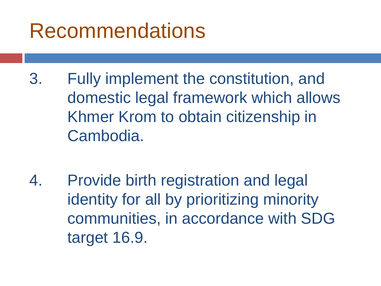# Recommendations

- 3. Fully implement the constitution, and domestic legal framework which allows Khmer Krom to obtain citizenship in Cambodia.
- 4. Provide birth registration and legal identity for all by prioritizing minority communities, in accordance with SDG target 16.9.